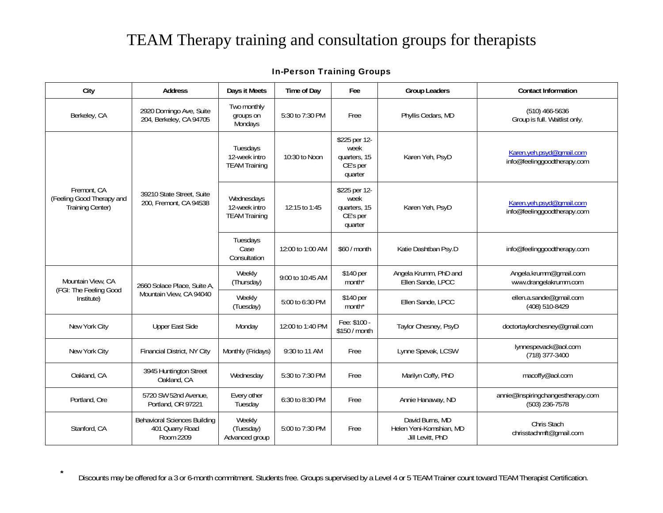## TEAM Therapy training and consultation groups for therapists

## In-Person Training Groups

| City                                                         | <b>Address</b>                                                      | Days it Meets                                       | Time of Day      | Fee                                                          | <b>Group Leaders</b>                                           | <b>Contact Information</b>                              |
|--------------------------------------------------------------|---------------------------------------------------------------------|-----------------------------------------------------|------------------|--------------------------------------------------------------|----------------------------------------------------------------|---------------------------------------------------------|
| Berkeley, CA                                                 | 2920 Domingo Ave, Suite<br>204, Berkeley, CA 94705                  | Two monthly<br>groups on<br>Mondays                 | 5:30 to 7:30 PM  | Free                                                         | Phyllis Cedars, MD                                             | $(510)$ 466-5636<br>Group is full. Waitlist only.       |
| Fremont, CA<br>(Feeling Good Therapy and<br>Training Center) | 39210 State Street, Suite<br>200, Fremont, CA 94538                 | Tuesdays<br>12-week intro<br><b>TEAM Training</b>   | 10:30 to Noon    | \$225 per 12-<br>week<br>quarters, 15<br>CE's per<br>quarter | Karen Yeh, PsyD                                                | Karen.yeh.psyd@qmail.com<br>info@feelinggoodtherapy.com |
|                                                              |                                                                     | Wednesdays<br>12-week intro<br><b>TEAM Training</b> | 12:15 to 1:45    | \$225 per 12-<br>week<br>quarters, 15<br>CE's per<br>quarter | Karen Yeh, PsyD                                                | Karen.yeh.psyd@qmail.com<br>info@feelinggoodtherapy.com |
|                                                              |                                                                     | Tuesdays<br>Case<br>Consultation                    | 12:00 to 1:00 AM | \$60 / month                                                 | Katie Dashtban Psy.D                                           | info@feelinggoodtherapy.com                             |
| Mountain View, CA<br>(FGI: The Feeling Good<br>Institute)    | 2660 Solace Place, Suite A,<br>Mountain View, CA 94040              | Weekly<br>(Thursday)                                | 9:00 to 10:45 AM | \$140 per<br>month <sup>*</sup>                              | Angela Krumm, PhD and<br>Ellen Sande, LPCC                     | Angela.krumm@gmail.com<br>www.drangelakrumm.com         |
|                                                              |                                                                     | Weekly<br>(Tuesday)                                 | 5:00 to 6:30 PM  | \$140 per<br>month <sup>*</sup>                              | Ellen Sande, LPCC                                              | ellen.a.sande@gmail.com<br>(408) 510-8429               |
| New York City                                                | <b>Upper East Side</b>                                              | Monday                                              | 12:00 to 1:40 PM | Fee: \$100 -<br>\$150 / month                                | Taylor Chesney, PsyD                                           | doctortaylorchesney@gmail.com                           |
| New York City                                                | Financial District, NY City                                         | Monthly (Fridays)                                   | 9:30 to 11 AM    | Free                                                         | Lynne Spevak, LCSW                                             | lynnespevack@aol.com<br>(718) 377-3400                  |
| Oakland, CA                                                  | 3945 Huntington Street<br>Oakland, CA                               | Wednesday                                           | 5:30 to 7:30 PM  | Free                                                         | Marilyn Coffy, PhD                                             | macoffy@aol.com                                         |
| Portland, Ore                                                | 5720 SW 52nd Avenue,<br>Portland, OR 97221                          | Every other<br>Tuesday                              | 6:30 to 8:30 PM  | Free                                                         | Annie Hanaway, ND                                              | annie@inspiringchangestherapy.com<br>(503) 236-7578     |
| Stanford, CA                                                 | <b>Behavioral Sciences Building</b><br>401 Quarry Road<br>Room 2209 | Weekly<br>(Tuesday)<br>Advanced group               | 5:00 to 7:30 PM  | Free                                                         | David Burns, MD<br>Helen Yeni-Komshian, MD<br>Jill Levitt, PhD | Chris Stach<br>chrisstachmft@gmail.com                  |

Discounts may be offered for a 3 or 6-month commitment. Students free. Groups supervised by a Level 4 or 5 TEAM Trainer count toward TEAM Therapist Certification.

**\***